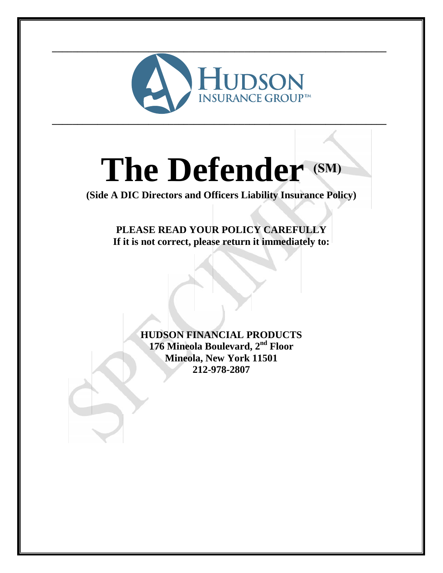

# **The Defender (SM)**

**(Side A DIC Directors and Officers Liability Insurance Policy)**

**PLEASE READ YOUR POLICY CAREFULLY If it is not correct, please return it immediately to:**

> **HUDSON FINANCIAL PRODUCTS 176 Mineola Boulevard, 2nd Floor Mineola, New York 11501 212-978-2807**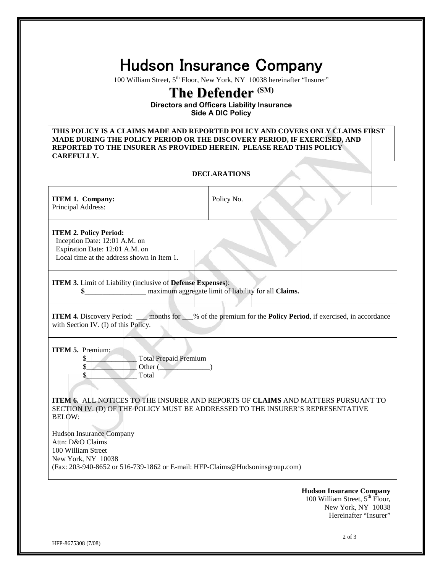## **Hudson Insurance Company**

100 William Street, 5<sup>th</sup> Floor, New York, NY 10038 hereinafter "Insurer"

### **The Defender (SM)**

**Directors and Officers Liability Insurance Side A DIC Policy**

**THIS POLICY IS A CLAIMS MADE AND REPORTED POLICY AND COVERS ONLY CLAIMS FIRST MADE DURING THE POLICY PERIOD OR THE DISCOVERY PERIOD, IF EXERCISED, AND REPORTED TO THE INSURER AS PROVIDED HEREIN. PLEASE READ THIS POLICY CAREFULLY.**

#### **DECLARATIONS**

| <b>ITEM 1. Company:</b><br>Principal Address:                                                                                                                                                    | Policy No.                                                                                                                                                          |  |  |  |  |
|--------------------------------------------------------------------------------------------------------------------------------------------------------------------------------------------------|---------------------------------------------------------------------------------------------------------------------------------------------------------------------|--|--|--|--|
| <b>ITEM 2. Policy Period:</b><br>Inception Date: 12:01 A.M. on<br>Expiration Date: 12:01 A.M. on<br>Local time at the address shown in Item 1.                                                   |                                                                                                                                                                     |  |  |  |  |
| ITEM 3. Limit of Liability (inclusive of Defense Expenses):<br>maximum aggregate limit of liability for all <b>Claims.</b><br>\$                                                                 |                                                                                                                                                                     |  |  |  |  |
| <b>ITEM 4.</b> Discovery Period: ____ months for ___% of the premium for the <b>Policy Period</b> , if exercised, in accordance<br>with Section IV. (I) of this Policy.                          |                                                                                                                                                                     |  |  |  |  |
| <b>ITEM 5.</b> Premium:<br>\$<br><b>Total Prepaid Premium</b><br>\$<br>Other (<br>\$<br>Total                                                                                                    |                                                                                                                                                                     |  |  |  |  |
| <b>BELOW:</b><br><b>Hudson Insurance Company</b><br>Attn: D&O Claims<br>100 William Street<br>New York, NY 10038<br>(Fax: 203-940-8652 or 516-739-1862 or E-mail: HFP-Claims@Hudsoninsgroup.com) | ITEM 6. ALL NOTICES TO THE INSURER AND REPORTS OF CLAIMS AND MATTERS PURSUANT TO<br>SECTION IV. (D) OF THE POLICY MUST BE ADDRESSED TO THE INSURER'S REPRESENTATIVE |  |  |  |  |
| <b>Hudson Insurance Company</b>                                                                                                                                                                  |                                                                                                                                                                     |  |  |  |  |

100 William Street, 5<sup>th</sup> Floor, New York, NY 10038 Hereinafter "Insurer"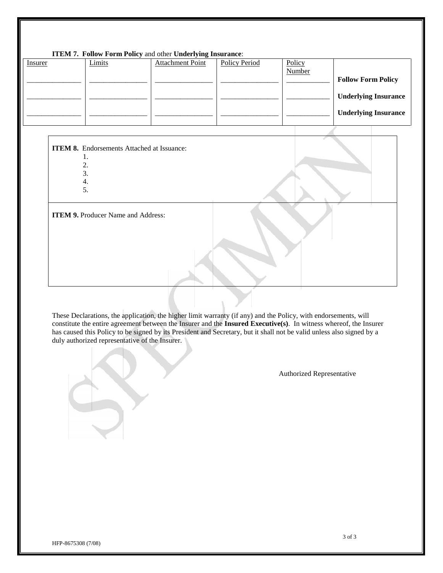#### **ITEM 7. Follow Form Policy** and other **Underlying Insurance**:

| <i>Insurer</i> | Limits | <b>Attachment Point</b> | Policy Period | Policy |                             |
|----------------|--------|-------------------------|---------------|--------|-----------------------------|
|                |        |                         |               | Number | <b>Follow Form Policy</b>   |
|                |        |                         |               |        | <b>Underlying Insurance</b> |
|                |        |                         |               |        | <b>Underlying Insurance</b> |
|                |        |                         |               |        |                             |

#### **ITEM 8.** Endorsements Attached at Issuance: 1.

- 2.
- 3.
- 4.
- 5.

**ITEM 9.** Producer Name and Address:

These Declarations, the application, the higher limit warranty (if any) and the Policy, with endorsements, will constitute the entire agreement between the Insurer and the **Insured Executive(s)**. In witness whereof, the Insurer has caused this Policy to be signed by its President and Secretary, but it shall not be valid unless also signed by a duly authorized representative of the Insurer.

Authorized Representative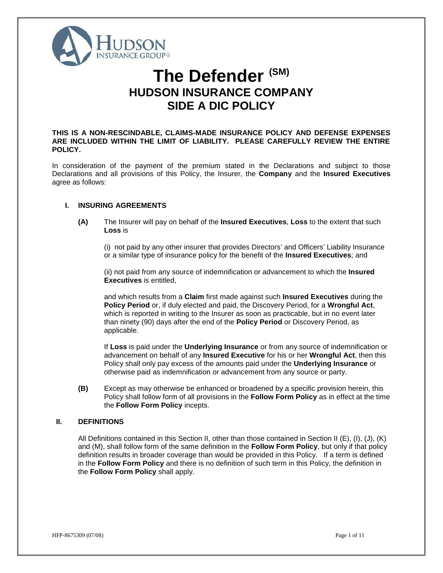

## **The Defender (SM) HUDSON INSURANCE COMPANY SIDE A DIC POLICY**

**THIS IS A NON-RESCINDABLE, CLAIMS-MADE INSURANCE POLICY AND DEFENSE EXPENSES ARE INCLUDED WITHIN THE LIMIT OF LIABILITY. PLEASE CAREFULLY REVIEW THE ENTIRE POLICY.**

In consideration of the payment of the premium stated in the Declarations and subject to those Declarations and all provisions of this Policy, the Insurer, the **Company** and the **Insured Executives** agree as follows:

#### **I. INSURING AGREEMENTS**

**(A)** The Insurer will pay on behalf of the **Insured Executives**, **Loss** to the extent that such **Loss** is

(i) not paid by any other insurer that provides Directors' and Officers' Liability Insurance or a similar type of insurance policy for the benefit of the **Insured Executives**; and

(ii) not paid from any source of indemnification or advancement to which the **Insured Executives** is entitled,

and which results from a **Claim** first made against such **Insured Executives** during the **Policy Period** or, if duly elected and paid, the Discovery Period, for a **Wrongful Act**, which is reported in writing to the Insurer as soon as practicable, but in no event later than ninety (90) days after the end of the **Policy Period** or Discovery Period, as applicable.

If **Loss** is paid under the **Underlying Insurance** or from any source of indemnification or advancement on behalf of any **Insured Executive** for his or her **Wrongful Act**, then this Policy shall only pay excess of the amounts paid under the **Underlying Insurance** or otherwise paid as indemnification or advancement from any source or party.

**(B)** Except as may otherwise be enhanced or broadened by a specific provision herein, this Policy shall follow form of all provisions in the **Follow Form Policy** as in effect at the time the **Follow Form Policy** incepts.

#### **II. DEFINITIONS**

All Definitions contained in this Section II, other than those contained in Section II (E), (I), (J), (K) and (M), shall follow form of the same definition in the **Follow Form Policy**, but only if that policy definition results in broader coverage than would be provided in this Policy. If a term is defined in the **Follow Form Policy** and there is no definition of such term in this Policy, the definition in the **Follow Form Policy** shall apply.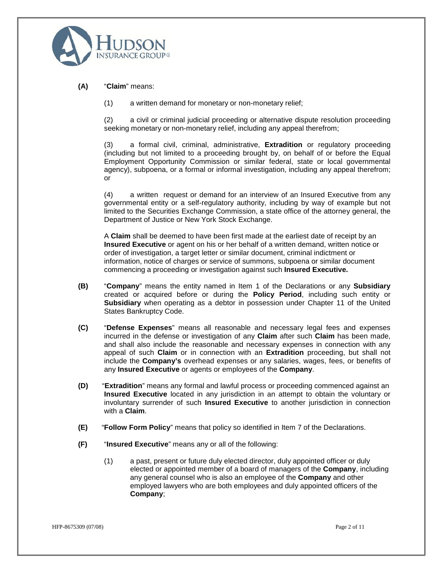

**(A)** "**Claim**" means:

(1) a written demand for monetary or non-monetary relief;

(2) a civil or criminal judicial proceeding or alternative dispute resolution proceeding seeking monetary or non-monetary relief, including any appeal therefrom;

(3) a formal civil, criminal, administrative, **Extradition** or regulatory proceeding (including but not limited to a proceeding brought by, on behalf of or before the Equal Employment Opportunity Commission or similar federal, state or local governmental agency), subpoena, or a formal or informal investigation, including any appeal therefrom; or

(4) a written request or demand for an interview of an Insured Executive from any governmental entity or a self-regulatory authority, including by way of example but not limited to the Securities Exchange Commission, a state office of the attorney general, the Department of Justice or New York Stock Exchange.

A **Claim** shall be deemed to have been first made at the earliest date of receipt by an **Insured Executive** or agent on his or her behalf of a written demand, written notice or order of investigation, a target letter or similar document, criminal indictment or information, notice of charges or service of summons, subpoena or similar document commencing a proceeding or investigation against such **Insured Executive.**

- **(B)** "**Company**" means the entity named in Item 1 of the Declarations or any **Subsidiary** created or acquired before or during the **Policy Period**, including such entity or **Subsidiary** when operating as a debtor in possession under Chapter 11 of the United States Bankruptcy Code.
- **(C)** "**Defense Expenses**" means all reasonable and necessary legal fees and expenses incurred in the defense or investigation of any **Claim** after such **Claim** has been made, and shall also include the reasonable and necessary expenses in connection with any appeal of such **Claim** or in connection with an **Extradition** proceeding, but shall not include the **Company's** overhead expenses or any salaries, wages, fees, or benefits of any **Insured Executive** or agents or employees of the **Company**.
- **(D)** "**Extradition**" means any formal and lawful process or proceeding commenced against an **Insured Executive** located in any jurisdiction in an attempt to obtain the voluntary or involuntary surrender of such **Insured Executive** to another jurisdiction in connection with a **Claim**.
- **(E)** "**Follow Form Policy**" means that policy so identified in Item 7 of the Declarations.
- **(F)** "**Insured Executive**" means any or all of the following:
	- (1) a past, present or future duly elected director, duly appointed officer or duly elected or appointed member of a board of managers of the **Company**, including any general counsel who is also an employee of the **Company** and other employed lawyers who are both employees and duly appointed officers of the **Company**;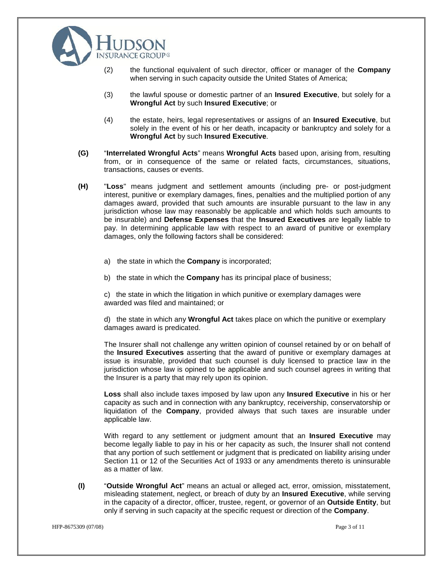

- (2) the functional equivalent of such director, officer or manager of the **Company** when serving in such capacity outside the United States of America;
- (3) the lawful spouse or domestic partner of an **Insured Executive**, but solely for a **Wrongful Act** by such **Insured Executive**; or
- (4) the estate, heirs, legal representatives or assigns of an **Insured Executive**, but solely in the event of his or her death, incapacity or bankruptcy and solely for a **Wrongful Act** by such **Insured Executive**.
- **(G)** "**Interrelated Wrongful Acts**" means **Wrongful Acts** based upon, arising from, resulting from, or in consequence of the same or related facts, circumstances, situations, transactions, causes or events.
- **(H)** "**Loss**" means judgment and settlement amounts (including pre- or post-judgment interest, punitive or exemplary damages, fines, penalties and the multiplied portion of any damages award, provided that such amounts are insurable pursuant to the law in any jurisdiction whose law may reasonably be applicable and which holds such amounts to be insurable) and Defense Expenses that the **Insured Executives** are legally liable to pay. In determining applicable law with respect to an award of punitive or exemplary damages, only the following factors shall be considered:
	- a) the state in which the **Company** is incorporated;
	- b) the state in which the **Company** has its principal place of business;

c) the state in which the litigation in which punitive or exemplary damages were awarded was filed and maintained; or

d) the state in which any **Wrongful Act** takes place on which the punitive or exemplary damages award is predicated.

The Insurer shall not challenge any written opinion of counsel retained by or on behalf of the **Insured Executives** asserting that the award of punitive or exemplary damages at issue is insurable, provided that such counsel is duly licensed to practice law in the jurisdiction whose law is opined to be applicable and such counsel agrees in writing that the Insurer is a party that may rely upon its opinion.

**Loss** shall also include taxes imposed by law upon any **Insured Executive** in his or her capacity as such and in connection with any bankruptcy, receivership, conservatorship or liquidation of the **Company**, provided always that such taxes are insurable under applicable law.

With regard to any settlement or judgment amount that an **Insured Executive** may become legally liable to pay in his or her capacity as such, the Insurer shall not contend that any portion of such settlement or judgment that is predicated on liability arising under Section 11 or 12 of the Securities Act of 1933 or any amendments thereto is uninsurable as a matter of law.

**(I)** "**Outside Wrongful Act**" means an actual or alleged act, error, omission, misstatement, misleading statement, neglect, or breach of duty by an **Insured Executive**, while serving in the capacity of a director, officer, trustee, regent, or governor of an **Outside Entity**, but only if serving in such capacity at the specific request or direction of the **Company**.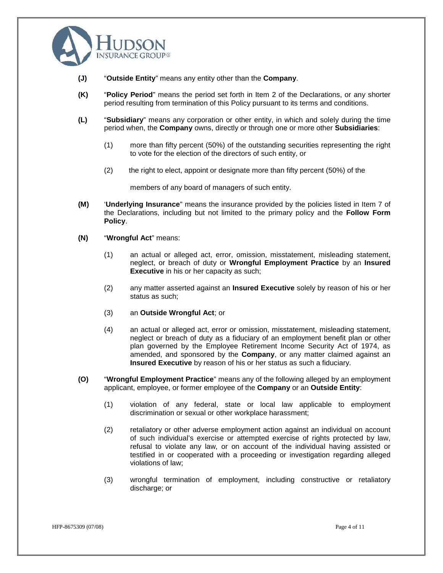

- **(J)** "**Outside Entity**" means any entity other than the **Company**.
- **(K)** "**Policy Period**" means the period set forth in Item 2 of the Declarations, or any shorter period resulting from termination of this Policy pursuant to its terms and conditions.
- **(L)** "**Subsidiary**" means any corporation or other entity, in which and solely during the time period when, the **Company** owns, directly or through one or more other **Subsidiaries**:
	- (1) more than fifty percent (50%) of the outstanding securities representing the right to vote for the election of the directors of such entity, or
	- (2) the right to elect, appoint or designate more than fifty percent (50%) of the

members of any board of managers of such entity.

- **(M)** '**Underlying Insurance**" means the insurance provided by the policies listed in Item 7 of the Declarations, including but not limited to the primary policy and the **Follow Form Policy**.
- **(N)** "**Wrongful Act**" means:
	- (1) an actual or alleged act, error, omission, misstatement, misleading statement, neglect, or breach of duty or **Wrongful Employment Practice** by an **Insured Executive** in his or her capacity as such;
	- (2) any matter asserted against an **Insured Executive** solely by reason of his or her status as such;
	- (3) an **Outside Wrongful Act**; or
	- (4) an actual or alleged act, error or omission, misstatement, misleading statement, neglect or breach of duty as a fiduciary of an employment benefit plan or other plan governed by the Employee Retirement Income Security Act of 1974, as amended, and sponsored by the **Company**, or any matter claimed against an **Insured Executive** by reason of his or her status as such a fiduciary.
- **(O)** "**Wrongful Employment Practice**" means any of the following alleged by an employment applicant, employee, or former employee of the **Company** or an **Outside Entity**:
	- (1) violation of any federal, state or local law applicable to employment discrimination or sexual or other workplace harassment;
	- (2) retaliatory or other adverse employment action against an individual on account of such individual's exercise or attempted exercise of rights protected by law, refusal to violate any law, or on account of the individual having assisted or testified in or cooperated with a proceeding or investigation regarding alleged violations of law;
	- (3) wrongful termination of employment, including constructive or retaliatory discharge; or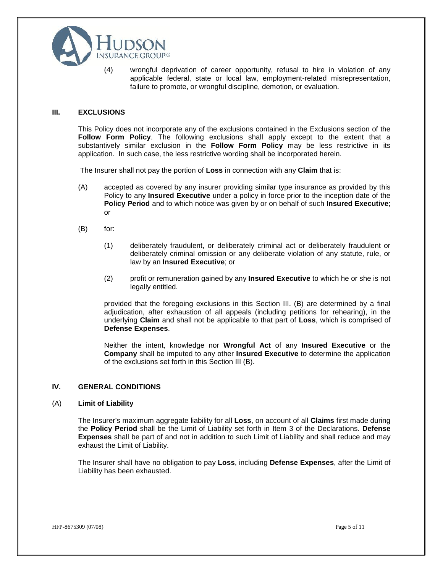

(4) wrongful deprivation of career opportunity, refusal to hire in violation of any applicable federal, state or local law, employment-related misrepresentation, failure to promote, or wrongful discipline, demotion, or evaluation.

#### **III. EXCLUSIONS**

This Policy does not incorporate any of the exclusions contained in the Exclusions section of the **Follow Form Policy**. The following exclusions shall apply except to the extent that a substantively similar exclusion in the **Follow Form Policy** may be less restrictive in its application. In such case, the less restrictive wording shall be incorporated herein.

The Insurer shall not pay the portion of **Loss** in connection with any **Claim** that is:

- (A) accepted as covered by any insurer providing similar type insurance as provided by this Policy to any **Insured Executive** under a policy in force prior to the inception date of the **Policy Period** and to which notice was given by or on behalf of such **Insured Executive**; or
- (B) for:
	- (1) deliberately fraudulent, or deliberately criminal act or deliberately fraudulent or deliberately criminal omission or any deliberate violation of any statute, rule, or law by an **Insured Executive**; or
	- (2) profit or remuneration gained by any **Insured Executive** to which he or she is not legally entitled.

provided that the foregoing exclusions in this Section III. (B) are determined by a final adjudication, after exhaustion of all appeals (including petitions for rehearing), in the underlying **Claim** and shall not be applicable to that part of **Loss**, which is comprised of **Defense Expenses**.

Neither the intent, knowledge nor **Wrongful Act** of any **Insured Executive** or the **Company** shall be imputed to any other **Insured Executive** to determine the application of the exclusions set forth in this Section III (B).

#### **IV. GENERAL CONDITIONS**

#### (A) **Limit of Liability**

The Insurer's maximum aggregate liability for all **Loss**, on account of all **Claims** first made during the **Policy Period** shall be the Limit of Liability set forth in Item 3 of the Declarations. **Defense Expenses** shall be part of and not in addition to such Limit of Liability and shall reduce and may exhaust the Limit of Liability.

The Insurer shall have no obligation to pay **Loss**, including **Defense Expenses**, after the Limit of Liability has been exhausted.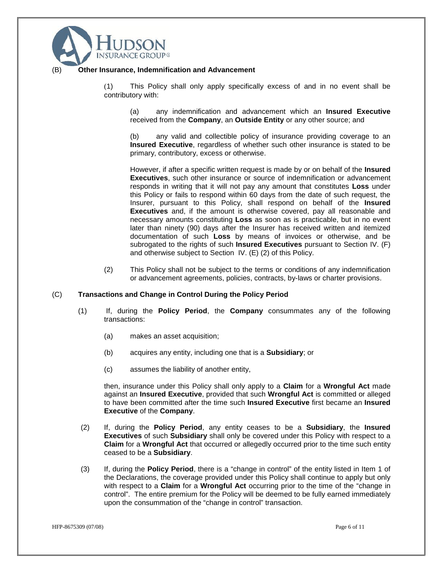

#### **Other Insurance, Indemnification and Advancement**

(1) This Policy shall only apply specifically excess of and in no event shall be contributory with:

(a) any indemnification and advancement which an **Insured Executive** received from the **Company**, an **Outside Entity** or any other source; and

(b) any valid and collectible policy of insurance providing coverage to an **Insured Executive**, regardless of whether such other insurance is stated to be primary, contributory, excess or otherwise.

However, if after a specific written request is made by or on behalf of the **Insured Executives**, such other insurance or source of indemnification or advancement responds in writing that it will not pay any amount that constitutes **Loss** under this Policy or fails to respond within 60 days from the date of such request, the Insurer, pursuant to this Policy, shall respond on behalf of the **Insured Executives** and, if the amount is otherwise covered, pay all reasonable and necessary amounts constituting **Loss** as soon as is practicable, but in no event later than ninety (90) days after the Insurer has received written and itemized documentation of such **Loss** by means of invoices or otherwise, and be subrogated to the rights of such **Insured Executives** pursuant to Section IV. (F) and otherwise subject to Section IV. (E) (2) of this Policy.

(2) This Policy shall not be subject to the terms or conditions of any indemnification or advancement agreements, policies, contracts, by-laws or charter provisions.

#### (C) **Transactions and Change in Control During the Policy Period**

- (1) If, during the **Policy Period**, the **Company** consummates any of the following transactions:
	- (a) makes an asset acquisition;
	- (b) acquires any entity, including one that is a **Subsidiary**; or
	- (c) assumes the liability of another entity,

then, insurance under this Policy shall only apply to a **Claim** for a**Wrongful Act** made against an **Insured Executive**, provided that such **Wrongful Act** is committed or alleged to have been committed after the time such **Insured Executive** first became an **Insured Executive** of the **Company**.

- (2) If, during the **Policy Period**, any entity ceases to be a **Subsidiary**, the **Insured Executives** of such **Subsidiary** shall only be covered under this Policy with respect to a **Claim** for a **Wrongful Act** that occurred or allegedly occurred prior to the time such entity ceased to be a **Subsidiary**.
- (3) If, during the **Policy Period**, there is a "change in control" of the entity listed in Item 1 of the Declarations, the coverage provided under this Policy shall continue to apply but only with respect to a **Claim** for a**Wrongful Act** occurring prior to the time of the "change in control". The entire premium for the Policy will be deemed to be fully earned immediately upon the consummation of the "change in control" transaction.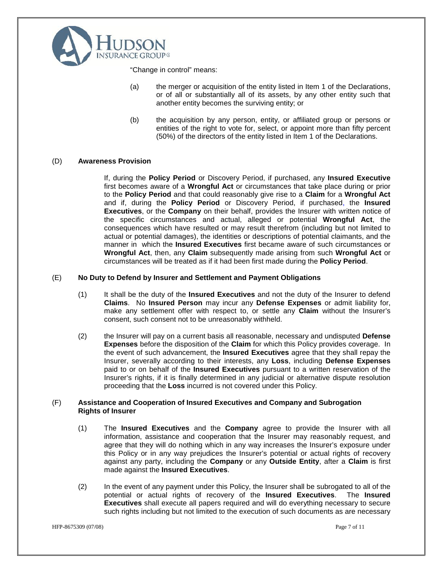

"Change in control" means:

- (a) the merger or acquisition of the entity listed in Item 1 of the Declarations, or of all or substantially all of its assets, by any other entity such that another entity becomes the surviving entity; or
- (b) the acquisition by any person, entity, or affiliated group or persons or entities of the right to vote for, select, or appoint more than fifty percent (50%) of the directors of the entity listed in Item 1 of the Declarations.

#### (D) **Awareness Provision**

If, during the **Policy Period** or Discovery Period, if purchased, any **Insured Executive** first becomes aware of a **Wrongful Act** or circumstances that take place during or prior to the **Policy Period** and that could reasonably give rise to a **Claim** for a**Wrongful Act** and if, during the **Policy Period** or Discovery Period, if purchased, the **Insured Executives**, or the **Company** on their behalf, provides the Insurer with written notice of the specific circumstances and actual, alleged or potential **Wrongful Act**, the consequences which have resulted or may result therefrom (including but not limited to actual or potential damages), the identities or descriptions of potential claimants, and the manner in which the **Insured Executives** first became aware of such circumstances or **Wrongful Act**, then, any **Claim** subsequently made arising from such **Wrongful Act** or circumstances will be treated as if it had been first made during the **Policy Period**.

#### (E) **No Duty to Defend by Insurer and Settlement and Payment Obligations**

- (1) It shall be the duty of the **Insured Executives** and not the duty of the Insurer to defend **Claims**. No **Insured Person** may incur any **Defense Expenses** or admit liability for, make any settlement offer with respect to, or settle any **Claim** without the Insurer's consent, such consent not to be unreasonably withheld.
- (2) the Insurer will pay on a current basis all reasonable, necessary and undisputed **Defense Expenses** before the disposition of the **Claim** for which this Policy provides coverage. In the event of such advancement, the **Insured Executives** agree that they shall repay the Insurer, severally according to their interests, any **Loss**, including **Defense Expenses** paid to or on behalf of the **Insured Executives** pursuant to a written reservation of the Insurer's rights, if it is finally determined in any judicial or alternative dispute resolution proceeding that the **Loss** incurred is not covered under this Policy.

#### (F) **Assistance and Cooperation of Insured Executives and Company and Subrogation Rights of Insurer**

- (1) The **Insured Executives** and the **Company** agree to provide the Insurer with all information, assistance and cooperation that the Insurer may reasonably request, and agree that they will do nothing which in any way increases the Insurer's exposure under this Policy or in any way prejudices the Insurer's potential or actual rights of recovery against any party, including the **Company** or any **Outside Entity**, after a **Claim** is first made against the **Insured Executives**.
- (2) In the event of any payment under this Policy, the Insurer shall be subrogated to all of the potential or actual rights of recovery of the **Insured Executives**. The **Insured Executives** shall execute all papers required and will do everything necessary to secure such rights including but not limited to the execution of such documents as are necessary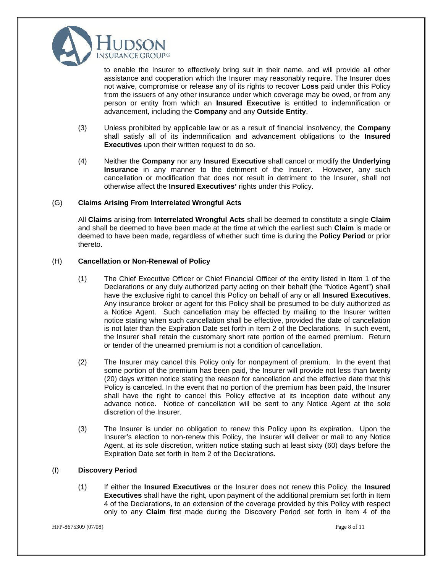

to enable the Insurer to effectively bring suit in their name, and will provide all other assistance and cooperation which the Insurer may reasonably require. The Insurer does not waive, compromise or release any of its rights to recover **Loss** paid under this Policy from the issuers of any other insurance under which coverage may be owed, or from any person or entity from which an **Insured Executive** is entitled to indemnification or advancement, including the **Company** and any **Outside Entity**.

- (3) Unless prohibited by applicable law or as a result of financial insolvency, the **Company** shall satisfy all of its indemnification and advancement obligations to the **Insured Executives** upon their written request to do so.
- (4) Neither the **Company** nor any **Insured Executive** shall cancel or modify the **Underlying Insurance** in any manner to the detriment of the Insurer. However, any such cancellation or modification that does not result in detriment to the Insurer, shall not otherwise affect the **Insured Executives'** rights under this Policy.

#### (G) **Claims Arising From Interrelated Wrongful Acts**

All **Claims** arising from **Interrelated Wrongful Acts** shall be deemed to constitute a single **Claim** and shall be deemed to have been made at the time at which the earliest such **Claim** is made or deemed to have been made, regardless of whether such time is during the **Policy Period** or prior thereto.

#### (H) **Cancellation or Non-Renewal of Policy**

- (1) The Chief Executive Officer or Chief Financial Officer of the entity listed in Item 1 of the Declarations or any duly authorized party acting on their behalf (the "Notice Agent") shall have the exclusive right to cancel this Policy on behalf of any or all **Insured Executives**. Any insurance broker or agent for this Policy shall be presumed to be duly authorized as a Notice Agent. Such cancellation may be effected by mailing to the Insurer written notice stating when such cancellation shall be effective, provided the date of cancellation is not later than the Expiration Date set forth in Item 2 of the Declarations. In such event, the Insurer shall retain the customary short rate portion of the earned premium. Return or tender of the unearned premium is not a condition of cancellation.
- (2) The Insurer may cancel this Policy only for nonpayment of premium. In the event that some portion of the premium has been paid, the Insurer will provide not less than twenty (20) days written notice stating the reason for cancellation and the effective date that this Policy is canceled. In the event that no portion of the premium has been paid, the Insurer shall have the right to cancel this Policy effective at its inception date without any advance notice. Notice of cancellation will be sent to any Notice Agent at the sole discretion of the Insurer.
- (3) The Insurer is under no obligation to renew this Policy upon its expiration. Upon the Insurer's election to non-renew this Policy, the Insurer will deliver or mail to any Notice Agent, at its sole discretion, written notice stating such at least sixty (60) days before the Expiration Date set forth in Item 2 of the Declarations.

#### (I) **Discovery Period**

(1) If either the **Insured Executives** or the Insurer does not renew this Policy, the **Insured Executives** shall have the right, upon payment of the additional premium set forth in Item 4 of the Declarations, to an extension of the coverage provided by this Policy with respect only to any **Claim** first made during the Discovery Period set forth in Item 4 of the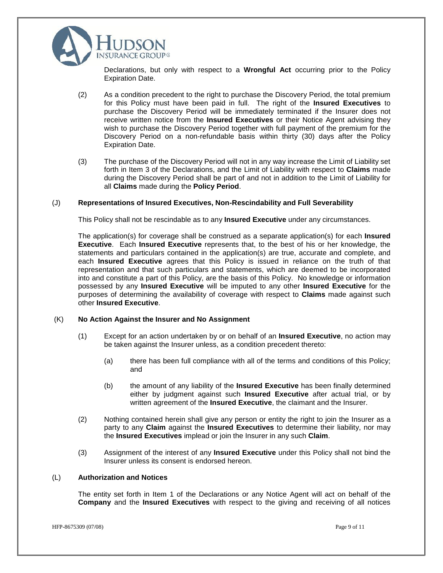

Declarations, but only with respect to a **Wrongful Act** occurring prior to the Policy Expiration Date.

- (2) As a condition precedent to the right to purchase the Discovery Period, the total premium for this Policy must have been paid in full. The right of the **Insured Executives** to purchase the Discovery Period will be immediately terminated if the Insurer does not receive written notice from the **Insured Executives** or their Notice Agent advising they wish to purchase the Discovery Period together with full payment of the premium for the Discovery Period on a non-refundable basis within thirty (30) days after the Policy Expiration Date.
- (3) The purchase of the Discovery Period will not in any way increase the Limit of Liability set forth in Item 3 of the Declarations, and the Limit of Liability with respect to **Claims** made during the Discovery Period shall be part of and not in addition to the Limit of Liability for all **Claims** made during the **Policy Period**.

#### (J) **Representations of Insured Executives, Non-Rescindability and Full Severability**

This Policy shall not be rescindable as to any **Insured Executive** under any circumstances.

The application(s) for coverage shall be construed as a separate application(s) for each **Insured Executive**. Each **Insured Executive** represents that, to the best of his or her knowledge, the statements and particulars contained in the application(s) are true, accurate and complete, and each **Insured Executive** agrees that this Policy is issued in reliance on the truth of that representation and that such particulars and statements, which are deemed to be incorporated into and constitute a part of this Policy, are the basis of this Policy. No knowledge or information possessed by any **Insured Executive** will be imputed to any other **Insured Executive** for the purposes of determining the availability of coverage with respect to **Claims** made against such other **Insured Executive**.

#### (K) **No Action Against the Insurer and No Assignment**

- (1) Except for an action undertaken by or on behalf of an **Insured Executive**, no action may be taken against the Insurer unless, as a condition precedent thereto:
	- (a) there has been full compliance with all of the terms and conditions of this Policy; and
	- (b) the amount of any liability of the **Insured Executive** has been finally determined either by judgment against such **Insured Executive** after actual trial, or by written agreement of the **Insured Executive**, the claimant and the Insurer.
- (2) Nothing contained herein shall give any person or entity the right to join the Insurer as a party to any **Claim** against the **Insured Executives** to determine their liability, nor may the **Insured Executives** implead or join the Insurer in any such **Claim**.
- (3) Assignment of the interest of any **Insured Executive** under this Policy shall not bind the Insurer unless its consent is endorsed hereon.

#### (L) **Authorization and Notices**

The entity set forth in Item 1 of the Declarations or any Notice Agent will act on behalf of the **Company** and the **Insured Executives** with respect to the giving and receiving of all notices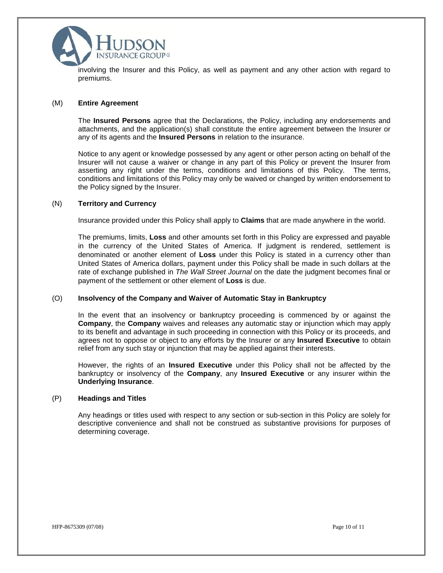

involving the Insurer and this Policy, as well as payment and any other action with regard to premiums.

#### (M) **Entire Agreement**

The **Insured Persons** agree that the Declarations, the Policy, including any endorsements and attachments, and the application(s) shall constitute the entire agreement between the Insurer or any of its agents and the **Insured Persons** in relation to the insurance.

Notice to any agent or knowledge possessed by any agent or other person acting on behalf of the Insurer will not cause a waiver or change in any part of this Policy or prevent the Insurer from asserting any right under the terms, conditions and limitations of this Policy. The terms, conditions and limitations of this Policy may only be waived or changed by written endorsement to the Policy signed by the Insurer.

#### (N) **Territory and Currency**

Insurance provided under this Policy shall apply to **Claims** that are made anywhere in the world.

The premiums, limits, **Loss** and other amounts set forth in this Policy are expressed and payable in the currency of the United States of America. If judgment is rendered, settlement is denominated or another element of **Loss** under this Policy is stated in a currency other than United States of America dollars, payment under this Policy shall be made in such dollars at the rate of exchange published in *The Wall Street Journal* on the date the judgment becomes final or payment of the settlement or other element of **Loss** is due.

#### (O) **Insolvency of the Company and Waiver of Automatic Stay in Bankruptcy**

In the event that an insolvency or bankruptcy proceeding is commenced by or against the **Company**, the **Company** waives and releases any automatic stay or injunction which may apply to its benefit and advantage in such proceeding in connection with this Policy or its proceeds, and agrees not to oppose or object to any efforts by the Insurer or any **Insured Executive** to obtain relief from any such stay or injunction that may be applied against their interests.

However, the rights of an **Insured Executive** under this Policy shall not be affected by the bankruptcy or insolvency of the **Company**, any **Insured Executive** or any insurer within the **Underlying Insurance**.

#### (P) **Headings and Titles**

Any headings or titles used with respect to any section or sub-section in this Policy are solely for descriptive convenience and shall not be construed as substantive provisions for purposes of determining coverage.